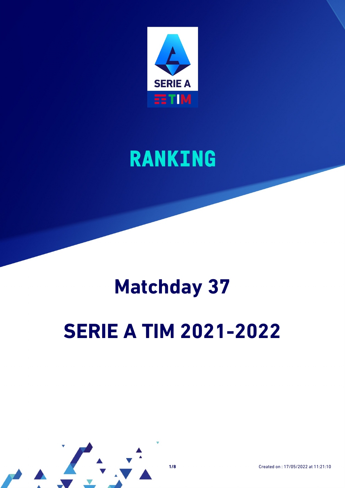

### **RANKING**

# **Matchday 37**

# **SERIE A TIM 2021-2022**

**1/8** Created on : 17/05/2022 at 11:21:10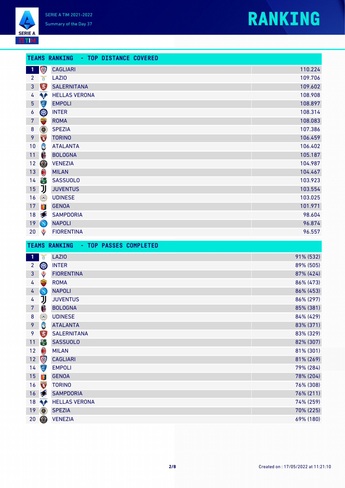

| <b>SERIE A</b> |  |
|----------------|--|
|                |  |

|                                |                                                 | TEAMS RANKING - TOP DISTANCE COVERED |                        |
|--------------------------------|-------------------------------------------------|--------------------------------------|------------------------|
| $\mathbf{1}$                   | \$                                              | <b>CAGLIARI</b>                      | 110.224                |
| $\overline{2}$                 | $\mathfrak{h}$                                  | <b>LAZIO</b>                         | 109.706                |
| $\mathbf{3}$                   |                                                 | <b>SALERNITANA</b>                   | 109.602                |
| 4                              | <b>Agri</b>                                     | <b>HELLAS VERONA</b>                 | 108.908                |
| $\overline{5}$                 | 停                                               | <b>EMPOLI</b>                        | 108.897                |
| 6                              | OLO                                             | <b>INTER</b>                         | 108.314                |
| $\overline{7}$                 |                                                 | <b>ROMA</b>                          | 108.083                |
| $\bf 8$                        | $\circledcirc$                                  | <b>SPEZIA</b>                        | 107.386                |
| 9                              | TORING<br>Carl Separate                         | <b>TORINO</b>                        | 106.459                |
| 10                             | C                                               | <b>ATALANTA</b>                      | 106.402                |
| 11                             | $\bigoplus$                                     | <b>BOLOGNA</b>                       | 105.187                |
| 12                             | O                                               | <b>VENEZIA</b>                       | 104.987                |
| 13                             | $\textcolor{red}{\textcolor{blue}{\textbf{0}}}$ | <b>MILAN</b>                         | 104.467                |
| 14                             | 高                                               | <b>SASSUOLO</b>                      | 103.923                |
| 15                             | IJ                                              | <b>JUVENTUS</b>                      | 103.554                |
| 16                             | $\Omega$                                        | <b>UDINESE</b>                       | 103.025                |
| 17                             | 零                                               | <b>GENOA</b>                         | 101.971                |
| 18                             | $\bullet$                                       | <b>SAMPDORIA</b>                     | 98.604                 |
| 19                             | $\bigcirc$                                      | <b>NAPOLI</b>                        | 96.874                 |
| 20                             | ♦                                               | <b>FIORENTINA</b>                    | 96.557                 |
|                                |                                                 | TEAMS RANKING - TOP PASSES COMPLETED |                        |
|                                |                                                 |                                      |                        |
| 1 <sup>1</sup>                 | Ť                                               | <b>LAZIO</b>                         | 91% (532)              |
| $\overline{2}$<br>$\mathbf{3}$ | OLD                                             | <b>INTER</b><br><b>FIORENTINA</b>    | 89% (505)<br>87% (424) |
|                                | ♦                                               |                                      |                        |
| 4                              |                                                 | <b>ROMA</b><br><b>NAPOLI</b>         | 86% (473)<br>86% (453) |
| 4<br>$\overline{4}$            | $\bigcirc$<br>IJ                                | <b>JUVENTUS</b>                      | 86% (297)              |
| $\overline{7}$                 |                                                 |                                      |                        |
| $\bf 8$                        | 6                                               | <b>BOLOGNA</b><br><b>UDINESE</b>     | 85% (381)<br>84% (429) |
| 9                              | $\Omega$<br>Ĝ                                   | <b>ATALANTA</b>                      | 83% (371)              |
| 9                              | $\sum_{n=1}^{\infty}$                           | <b>SALERNITANA</b>                   | 83% (329)              |
| 11                             | 靊                                               | <b>SASSUOLO</b>                      | 82% (307)              |
| 12                             | $\bigcirc$                                      | <b>MILAN</b>                         | 81% (301)              |

12 CAGLIARI 81% (269) 14 EMPOLI 2008 - 2009 - 2010 - 2020 - 2020 - 2030 - 2040 - 2050 - 2050 - 2050 - 2050 - 2050 - 2050 - 2050 - 20 GENOA 78% (204)  $\sqrt{3}$  TORINO 76% (308) 16 SAMPDORIA 76% (211) **A** HELLAS VERONA 74% (259) SPEZIA 70% (225) VENEZIA 69% (180)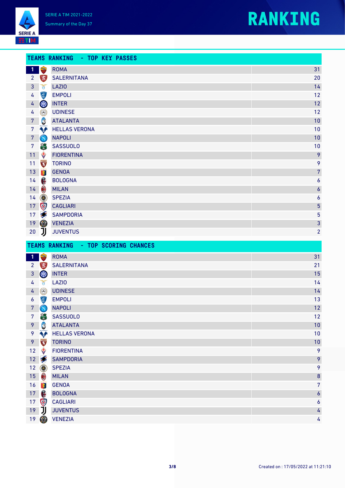



|                |                   | TEAMS RANKING - TOP KEY PASSES      |                  |
|----------------|-------------------|-------------------------------------|------------------|
| <b>1 Pa</b>    |                   | <b>ROMA</b>                         | 31               |
|                | $2 \quad \bullet$ | <b>SALERNITANA</b>                  | 20               |
| $\mathbf{3}$   | $\mathcal{L}$     | <b>LAZIO</b>                        | 14               |
| 4              | $\overline{\Phi}$ | <b>EMPOLI</b>                       | 12               |
| $\overline{4}$ | OIO               | <b>INTER</b>                        | 12               |
| 4              | $\odot$           | <b>UDINESE</b>                      | 12               |
| 7 <sup>7</sup> | C                 | <b>ATALANTA</b>                     | 10               |
| $\overline{7}$ | <b>App</b>        | <b>HELLAS VERONA</b>                | 10               |
| $\mathbf{7}$   | $\bigcirc$        | <b>NAPOLI</b>                       | 10               |
| 7 <sup>7</sup> | 簡                 | <b>SASSUOLO</b>                     | 10               |
| 11             | ♦                 | <b>FIORENTINA</b>                   | 9                |
| 11             | <b>TORING</b>     | <b>TORINO</b>                       | 9                |
|                | 13 9              | <b>GENOA</b>                        | $\overline{7}$   |
| 14             | 6                 | <b>BOLOGNA</b>                      | $\boldsymbol{6}$ |
| 14             | $\bigcirc$        | <b>MILAN</b>                        | $\boldsymbol{6}$ |
| 14             | $\circledcirc$    | <b>SPEZIA</b>                       | $\boldsymbol{6}$ |
|                | 17 +              | <b>CAGLIARI</b>                     | $\overline{5}$   |
| 17             |                   | <b>SAMPDORIA</b>                    | $\overline{5}$   |
| 19             | $\circledcirc$    | <b>VENEZIA</b>                      | 3                |
|                | $20$ J            | <b>JUVENTUS</b>                     | $\overline{2}$   |
|                |                   | TEAMS DANKTNG - TOD SCODTNG CHANCES |                  |

|                 |                                                 | <b>ILANO RANALING</b><br><b>E TUE OGUNING GHANGLO</b> |                  |
|-----------------|-------------------------------------------------|-------------------------------------------------------|------------------|
| $\mathbf{1}$    |                                                 | <b>ROMA</b>                                           | 31               |
| $\overline{2}$  |                                                 | <b>SALERNITANA</b>                                    | 21               |
| 3               | OLD                                             | <b>INTER</b>                                          | 15               |
| 4               | $\delta$                                        | <b>LAZIO</b>                                          | 14               |
| 4               | $\odot$                                         | <b>UDINESE</b>                                        | 14               |
| 6               | (章)                                             | <b>EMPOLI</b>                                         | 13               |
| $\overline{7}$  | $\bigcirc$                                      | <b>NAPOLI</b>                                         | 12               |
| $7\overline{ }$ | 剛                                               | <b>SASSUOLO</b>                                       | 12               |
| 9               | C                                               | <b>ATALANTA</b>                                       | 10               |
| 9               | <b>Art</b>                                      | <b>HELLAS VERONA</b>                                  | 10               |
| 9               | <b>TORINO</b>                                   | <b>TORINO</b>                                         | 10               |
| 12              | ♦                                               | <b>FIORENTINA</b>                                     | 9                |
| 12 <sub>1</sub> |                                                 | <b>SAMPDORIA</b>                                      | 9                |
| 12              | $\circledcirc$                                  | <b>SPEZIA</b>                                         | 9                |
| 15 <sub>1</sub> | $\textcolor{red}{\textcolor{blue}{\textbf{0}}}$ | <b>MILAN</b>                                          | $\boldsymbol{8}$ |
| 16              | 零                                               | <b>GENOA</b>                                          | $\overline{7}$   |
| 17              | 6                                               | <b>BOLOGNA</b>                                        | $\boldsymbol{6}$ |
| 17              | 甲                                               | <b>CAGLIARI</b>                                       | $\pmb{6}$        |
| 19              | リ                                               | <b>JUVENTUS</b>                                       | 4                |
|                 | $19$ $\circledcirc$                             | <b>VENEZIA</b>                                        | 4                |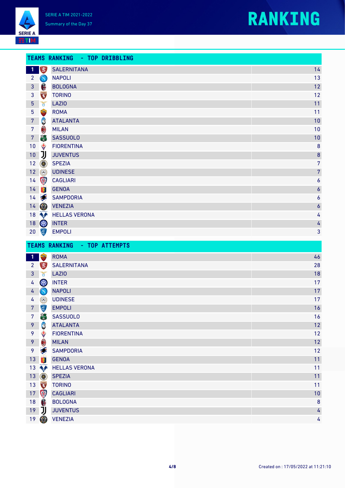



|                |                                                 | TEAMS RANKING - TOP DRIBBLING |                  |
|----------------|-------------------------------------------------|-------------------------------|------------------|
| $\vert$ 1      | B                                               | <b>SALERNITANA</b>            | 14               |
| $\overline{2}$ | $\left( \mathbf{N}\right)$                      | <b>NAPOLI</b>                 | 13               |
| $\mathbf{3}$   | 6                                               | <b>BOLOGNA</b>                | 12               |
| $\mathbf{3}$   | <b>TORING</b>                                   | <b>TORINO</b>                 | 12               |
| 5 <sub>5</sub> | Ŏ                                               | <b>LAZIO</b>                  | 11               |
| $\overline{5}$ |                                                 | <b>ROMA</b>                   | 11               |
| $\overline{7}$ | C                                               | <b>ATALANTA</b>               | 10               |
| $\overline{7}$ | $\textcolor{red}{\textcolor{blue}{\textbf{0}}}$ | <b>MILAN</b>                  | 10               |
| 7 <sup>7</sup> | 高                                               | <b>SASSUOLO</b>               | 10               |
| 10             | ♦                                               | <b>FIORENTINA</b>             | 8                |
| $10\,$         | IJ                                              | <b>JUVENTUS</b>               | 8                |
| 12             | $\circledcirc$                                  | <b>SPEZIA</b>                 | $\overline{7}$   |
| 12             | $\Omega$                                        | <b>UDINESE</b>                | $\overline{7}$   |
| 14             | 甲                                               | <b>CAGLIARI</b>               | 6                |
| 14             | 零                                               | <b>GENOA</b>                  | $\boldsymbol{6}$ |
|                | $14 \leq$                                       | <b>SAMPDORIA</b>              | 6                |
|                | $14$ $\circledcirc$                             | <b>VENEZIA</b>                | $\boldsymbol{6}$ |
|                |                                                 | 18 <b>MELLAS VERONA</b>       | 4                |
| 18             | <b>OF</b>                                       | <b>INTER</b>                  | 4                |
| 20             | (章)                                             | <b>EMPOLI</b>                 | 3                |

| <b>ROMA</b><br>46<br>$\mathbf{1}$<br>28<br><b>SALERNITANA</b><br>$\mathbf{2}$<br>18<br><b>LAZIO</b><br>3<br>$\mathfrak{g}$<br>W<br>17<br><b>INTER</b><br>4<br>17<br><b>NAPOLI</b><br>$\bigcirc$<br>4<br>17<br>$\Omega$<br><b>UDINESE</b><br>4<br>Ç<br>16<br><b>EMPOLI</b><br>7<br>高<br><b>SASSUOLO</b><br>16<br>7 |
|-------------------------------------------------------------------------------------------------------------------------------------------------------------------------------------------------------------------------------------------------------------------------------------------------------------------|
|                                                                                                                                                                                                                                                                                                                   |
|                                                                                                                                                                                                                                                                                                                   |
|                                                                                                                                                                                                                                                                                                                   |
|                                                                                                                                                                                                                                                                                                                   |
|                                                                                                                                                                                                                                                                                                                   |
|                                                                                                                                                                                                                                                                                                                   |
|                                                                                                                                                                                                                                                                                                                   |
|                                                                                                                                                                                                                                                                                                                   |
| C<br>12<br>9<br><b>ATALANTA</b>                                                                                                                                                                                                                                                                                   |
| ♦<br>12<br>9<br><b>FIORENTINA</b>                                                                                                                                                                                                                                                                                 |
| $\textcolor{red}{\textcolor{blue}{\textbf{0}}}$<br>12<br>9<br><b>MILAN</b>                                                                                                                                                                                                                                        |
| 12<br>9<br><b>SAMPDORIA</b>                                                                                                                                                                                                                                                                                       |
| 零<br>11<br>13<br><b>GENOA</b>                                                                                                                                                                                                                                                                                     |
| 11<br><b>April</b><br><b>HELLAS VERONA</b><br>13                                                                                                                                                                                                                                                                  |
| 0<br>11<br><b>SPEZIA</b><br>13                                                                                                                                                                                                                                                                                    |
| <b>TORING</b><br>11<br>13<br><b>TORINO</b>                                                                                                                                                                                                                                                                        |
| \$<br>17<br><b>CAGLIARI</b><br>10                                                                                                                                                                                                                                                                                 |
| 6<br>8<br>$18$<br><b>BOLOGNA</b>                                                                                                                                                                                                                                                                                  |
| リ<br><b>JUVENTUS</b><br>19<br>4                                                                                                                                                                                                                                                                                   |
| O<br><b>VENEZIA</b><br>19                                                                                                                                                                                                                                                                                         |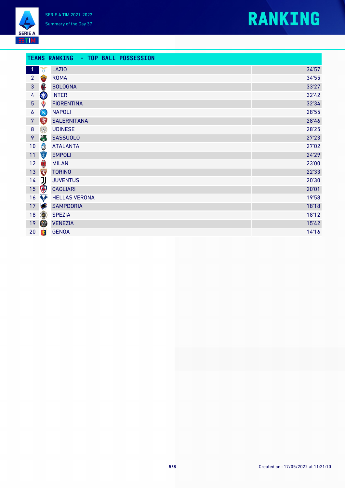



#### **TEAMS RANKING - TOP BALL POSSESSION**

| $\mathbf \Phi$    | Y                                                                                                                                                                                                                                                                                                                                                   | <b>LAZIO</b>         | 34'57 |
|-------------------|-----------------------------------------------------------------------------------------------------------------------------------------------------------------------------------------------------------------------------------------------------------------------------------------------------------------------------------------------------|----------------------|-------|
| $\overline{2}$    |                                                                                                                                                                                                                                                                                                                                                     | <b>ROMA</b>          | 34'55 |
| $\overline{3}$    | Â                                                                                                                                                                                                                                                                                                                                                   | <b>BOLOGNA</b>       | 33'27 |
| 4                 | W                                                                                                                                                                                                                                                                                                                                                   | <b>INTER</b>         | 32'42 |
| 5 <sup>1</sup>    | ♦                                                                                                                                                                                                                                                                                                                                                   | <b>FIORENTINA</b>    | 32'34 |
| 6                 | $\bigcirc$                                                                                                                                                                                                                                                                                                                                          | <b>NAPOLI</b>        | 28'55 |
| $7\phantom{.}$    | B                                                                                                                                                                                                                                                                                                                                                   | <b>SALERNITANA</b>   | 28'46 |
| $\bf 8$           | $\Omega$                                                                                                                                                                                                                                                                                                                                            | <b>UDINESE</b>       | 28'25 |
| 9                 | 曾                                                                                                                                                                                                                                                                                                                                                   | <b>SASSUOLO</b>      | 27'23 |
| 10                | C                                                                                                                                                                                                                                                                                                                                                   | <b>ATALANTA</b>      | 27'02 |
| 11                | Ç                                                                                                                                                                                                                                                                                                                                                   | <b>EMPOLI</b>        | 24'29 |
| $12 \overline{ }$ | $\textcolor{red}{\textcolor{blue}{\textbf{0}}}$                                                                                                                                                                                                                                                                                                     | <b>MILAN</b>         | 23'00 |
| 13                | $\begin{picture}(180,10) \put(0,0){\line(1,0){10}} \put(10,0){\line(1,0){10}} \put(10,0){\line(1,0){10}} \put(10,0){\line(1,0){10}} \put(10,0){\line(1,0){10}} \put(10,0){\line(1,0){10}} \put(10,0){\line(1,0){10}} \put(10,0){\line(1,0){10}} \put(10,0){\line(1,0){10}} \put(10,0){\line(1,0){10}} \put(10,0){\line(1,0){10}} \put(10,0){\line($ | <b>TORINO</b>        | 22'33 |
| 14                | IJ                                                                                                                                                                                                                                                                                                                                                  | <b>JUVENTUS</b>      | 20'30 |
| 15 <sub>1</sub>   | $\bigcirc$                                                                                                                                                                                                                                                                                                                                          | <b>CAGLIARI</b>      | 20'01 |
| 16                | N                                                                                                                                                                                                                                                                                                                                                   | <b>HELLAS VERONA</b> | 19'58 |
| 17 <sub>2</sub>   |                                                                                                                                                                                                                                                                                                                                                     | <b>SAMPDORIA</b>     | 18'18 |
| 18                | $\circledcirc$                                                                                                                                                                                                                                                                                                                                      | <b>SPEZIA</b>        | 18'12 |
| 19                | $\circledcirc$                                                                                                                                                                                                                                                                                                                                      | <b>VENEZIA</b>       | 15'42 |
| $20\,$            | 零                                                                                                                                                                                                                                                                                                                                                   | <b>GENOA</b>         | 14'16 |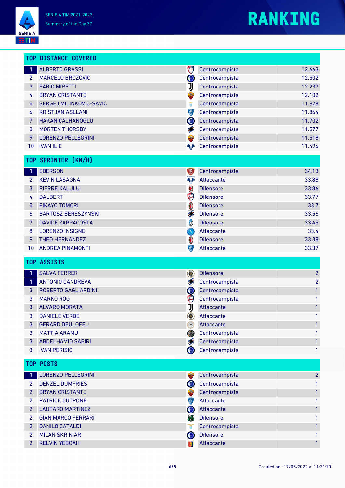

### **RANKING**

|                 | <b>TOP DISTANCE COVERED</b> |                                                                   |                   |                |
|-----------------|-----------------------------|-------------------------------------------------------------------|-------------------|----------------|
| -1              | <b>ALBERTO GRASSI</b>       | \$                                                                | Centrocampista    | 12.663         |
| $\mathbf{2}$    | MARCELO BROZOVIC            | W                                                                 | Centrocampista    | 12.502         |
| 3               | <b>FABIO MIRETTI</b>        | JJ                                                                | Centrocampista    | 12.237         |
| 4               | <b>BRYAN CRISTANTE</b>      |                                                                   | Centrocampista    | 12.102         |
| 5               | SERGEJ MILINKOVIC-SAVIC     | ð                                                                 | Centrocampista    | 11.928         |
| 6               | <b>KRISTJAN ASLLANI</b>     | (章)                                                               | Centrocampista    | 11.864         |
| 7               | <b>HAKAN CALHANOGLU</b>     | OIO                                                               | Centrocampista    | 11.702         |
| 8               | <b>MORTEN THORSBY</b>       | S                                                                 | Centrocampista    | 11.577         |
| 9               | <b>LORENZO PELLEGRINI</b>   |                                                                   | Centrocampista    | 11.518         |
| 10              | <b>IVAN ILIC</b>            | ◥♪                                                                | Centrocampista    | 11.496         |
| T <sub>OP</sub> | <b>SPRINTER [KM/H]</b>      |                                                                   |                   |                |
| 1               | <b>EDERSON</b>              | <b>EX</b>                                                         | Centrocampista    | 34.13          |
| $\overline{2}$  | <b>KEVIN LASAGNA</b>        | ♦∱                                                                | Attaccante        | 33.88          |
| 3               | <b>PIERRE KALULU</b>        | 0                                                                 | <b>Difensore</b>  | 33.86          |
| 4               | <b>DALBERT</b>              | \$                                                                | <b>Difensore</b>  | 33.77          |
| 5               | <b>FIKAYO TOMORI</b>        | $\textcolor{red}{\textcolor{blue}{\textcolor{blue}{\textbf{0}}}}$ | <b>Difensore</b>  | 33.7           |
| 6               | <b>BARTOSZ BERESZYNSKI</b>  | Í                                                                 | <b>Difensore</b>  | 33.56          |
| 7               | <b>DAVIDE ZAPPACOSTA</b>    | C                                                                 | <b>Difensore</b>  | 33.45          |
| 8               | <b>LORENZO INSIGNE</b>      | $\bigcirc$                                                        | Attaccante        | 33.4           |
| 9               | <b>THEO HERNANDEZ</b>       | $\bigcirc$                                                        | <b>Difensore</b>  | 33.38          |
| 10              | <b>ANDREA PINAMONTI</b>     | 軍                                                                 | <b>Attaccante</b> | 33.37          |
| <b>TOP</b>      | <b>ASSISTS</b>              |                                                                   |                   |                |
| $\mathbf{1}$    | <b>SALVA FERRER</b>         | $\circledcirc$                                                    | <b>Difensore</b>  | $\overline{2}$ |
| 1               | <b>ANTONIO CANDREVA</b>     | <b>SEP</b>                                                        | Centrocampista    | $\overline{2}$ |
| 3               | ROBERTO GAGLIARDINI         | <b>OID</b>                                                        | Centrocampista    | $\mathbf{1}$   |
| 3               | <b>MARKO ROG</b>            | \$                                                                | Centrocampista    | 1              |
| 3               | <b>ALVARO MORATA</b>        | Ů                                                                 | Attaccante        | 1              |
| 3               | <b>DANIELE VERDE</b>        | ۱                                                                 | Attaccante        | 1              |
| 3               | <b>GERARD DEULOFEU</b>      | O                                                                 | Attaccante        |                |
| 3               | <b>MATTIA ARAMU</b>         | (O)                                                               | Centrocampista    |                |
| 3               | <b>ABDELHAMID SABIRI</b>    | S                                                                 | Centrocampista    | 1              |
| 3               | <b>IVAN PERISIC</b>         | <b>OID</b>                                                        | Centrocampista    | 1              |
|                 | <b>TOP POSTS</b>            |                                                                   |                   |                |
| 1               | <b>LORENZO PELLEGRINI</b>   | <b>SEX</b>                                                        | Centrocampista    | $\overline{2}$ |
| $\overline{2}$  | <b>DENZEL DUMFRIES</b>      | OIO                                                               | Centrocampista    | 1              |
| $\overline{2}$  | <b>BRYAN CRISTANTE</b>      |                                                                   | Centrocampista    |                |
| 2               | <b>PATRICK CUTRONE</b>      | 停                                                                 | Attaccante        |                |
| 2               | <b>LAUTARO MARTINEZ</b>     | QIO                                                               | Attaccante        |                |
| 2               | <b>GIAN MARCO FERRARI</b>   | 篇                                                                 | <b>Difensore</b>  |                |
| $\overline{2}$  | <b>DANILO CATALDI</b>       | ð                                                                 | Centrocampista    | 1              |
| $\overline{2}$  | <b>MILAN SKRINIAR</b>       | OLO                                                               | <b>Difensore</b>  | 1              |

<u>2</u> KELVIN YEBOAH Attaccante 1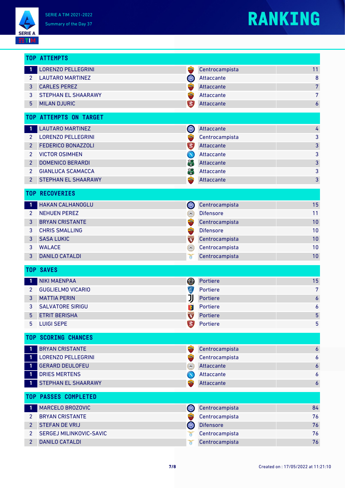**SERIE A EETIM** 

## **RANKING**

|                      | <b>TOP ATTEMPTS</b>         |                            |                  |                  |
|----------------------|-----------------------------|----------------------------|------------------|------------------|
| $\mathbf{1}$         | <b>LORENZO PELLEGRINI</b>   | <b>State</b>               | Centrocampista   | 11               |
| $\mathbf{2}^{\circ}$ | <b>LAUTARO MARTINEZ</b>     | OLO                        | Attaccante       | $\bf 8$          |
| 3                    | <b>CARLES PEREZ</b>         | <b>SER</b>                 | Attaccante       | $\overline{7}$   |
| 3                    | <b>STEPHAN EL SHAARAWY</b>  | <b>Stray</b>               | Attaccante       | $\overline{7}$   |
| $5\phantom{.0}$      | <b>MILAN DJURIC</b>         | <b>EX</b>                  | Attaccante       | $\boldsymbol{6}$ |
|                      | TOP ATTEMPTS ON TARGET      |                            |                  |                  |
| $\mathbf{1}$         | <b>LAUTARO MARTINEZ</b>     | OIO                        | Attaccante       | 4                |
| $2^{\circ}$          | <b>LORENZO PELLEGRINI</b>   | $\frac{1}{\pi}$            | Centrocampista   | 3                |
| $\overline{2}$       | <b>FEDERICO BONAZZOLI</b>   | B)                         | Attaccante       | $\mathsf 3$      |
| $\overline{2}$       | <b>VICTOR OSIMHEN</b>       | $\left( \mathbf{N}\right)$ | Attaccante       | 3                |
| $\overline{2}$       | <b>DOMENICO BERARDI</b>     | 篇                          | Attaccante       | 3                |
| $\overline{2}$       | <b>GIANLUCA SCAMACCA</b>    | 篇                          | Attaccante       | 3                |
| $\overline{2}$       | STEPHAN EL SHAARAWY         | <b>SIGN</b>                | Attaccante       | 3                |
|                      | <b>TOP RECOVERIES</b>       |                            |                  |                  |
| $\mathbf{1}$         | HAKAN CALHANOGLU            | QIO                        | Centrocampista   | 15               |
| $\overline{2}$       | <b>NEHUEN PEREZ</b>         | $\Omega$                   | <b>Difensore</b> | 11               |
| 3                    | <b>BRYAN CRISTANTE</b>      |                            | Centrocampista   | 10               |
| 3                    | <b>CHRIS SMALLING</b>       |                            | <b>Difensore</b> | 10               |
| 3                    | <b>SASA LUKIC</b>           | <b>TORIC</b>               | Centrocampista   | 10               |
| 3                    | <b>WALACE</b>               | $\Omega$                   | Centrocampista   | 10               |
| 3                    | <b>DANILO CATALDI</b>       | $\delta$                   | Centrocampista   | 10               |
|                      | <b>TOP SAVES</b>            |                            |                  |                  |
| 1                    | <b>NIKI MAENPAA</b>         | (O)                        | Portiere         | 15               |
| $\overline{2}$       | <b>GUGLIELMO VICARIO</b>    | Ç                          | Portiere         | 7                |
| 3                    | <b>MATTIA PERIN</b>         | IJ                         | Portiere         | $\pmb{6}$        |
| 3                    | <b>SALVATORE SIRIGU</b>     | 搴                          | Portiere         | 6                |
| 5                    | <b>ETRIT BERISHA</b>        | <b>CONSTRUCTION</b>        | Portiere         | $\overline{5}$   |
| 5 <sup>5</sup>       | <b>LUIGI SEPE</b>           | 為                          | Portiere         | 5                |
|                      | <b>TOP SCORING CHANCES</b>  |                            |                  |                  |
| $\mathbf{1}$         | <b>BRYAN CRISTANTE</b>      | <b>Simple</b>              | Centrocampista   | $\boldsymbol{6}$ |
| $\mathbf{1}$         | <b>LORENZO PELLEGRINI</b>   | $\frac{1}{2}$              | Centrocampista   | 6                |
| $\mathbf{1}$         | <b>GERARD DEULOFEU</b>      | $\langle \circ \rangle$    | Attaccante       | 6                |
| $\mathbf{1}$         | <b>DRIES MERTENS</b>        | $\left( \mathbf{N}\right)$ | Attaccante       | 6                |
| $\mathbf{1}$         | STEPHAN EL SHAARAWY         | <b>SIGN</b>                | Attaccante       | 6                |
|                      | <b>TOP PASSES COMPLETED</b> |                            |                  |                  |
| 1                    | MARCELO BROZOVIC            | QIO                        | Centrocampista   | 84               |
| $\overline{2}$       | <b>BRYAN CRISTANTE</b>      | <b>STARK</b>               | Centrocampista   | 76               |
| $\overline{2}$       | <b>STEFAN DE VRIJ</b>       | OIO                        | <b>Difensore</b> | 76               |
| 2                    | SERGEJ MILINKOVIC-SAVIC     | ň                          | Centrocampista   | 76               |
| 2 <sup>2</sup>       | <b>DANILO CATALDI</b>       | ð                          | Centrocampista   | 76               |